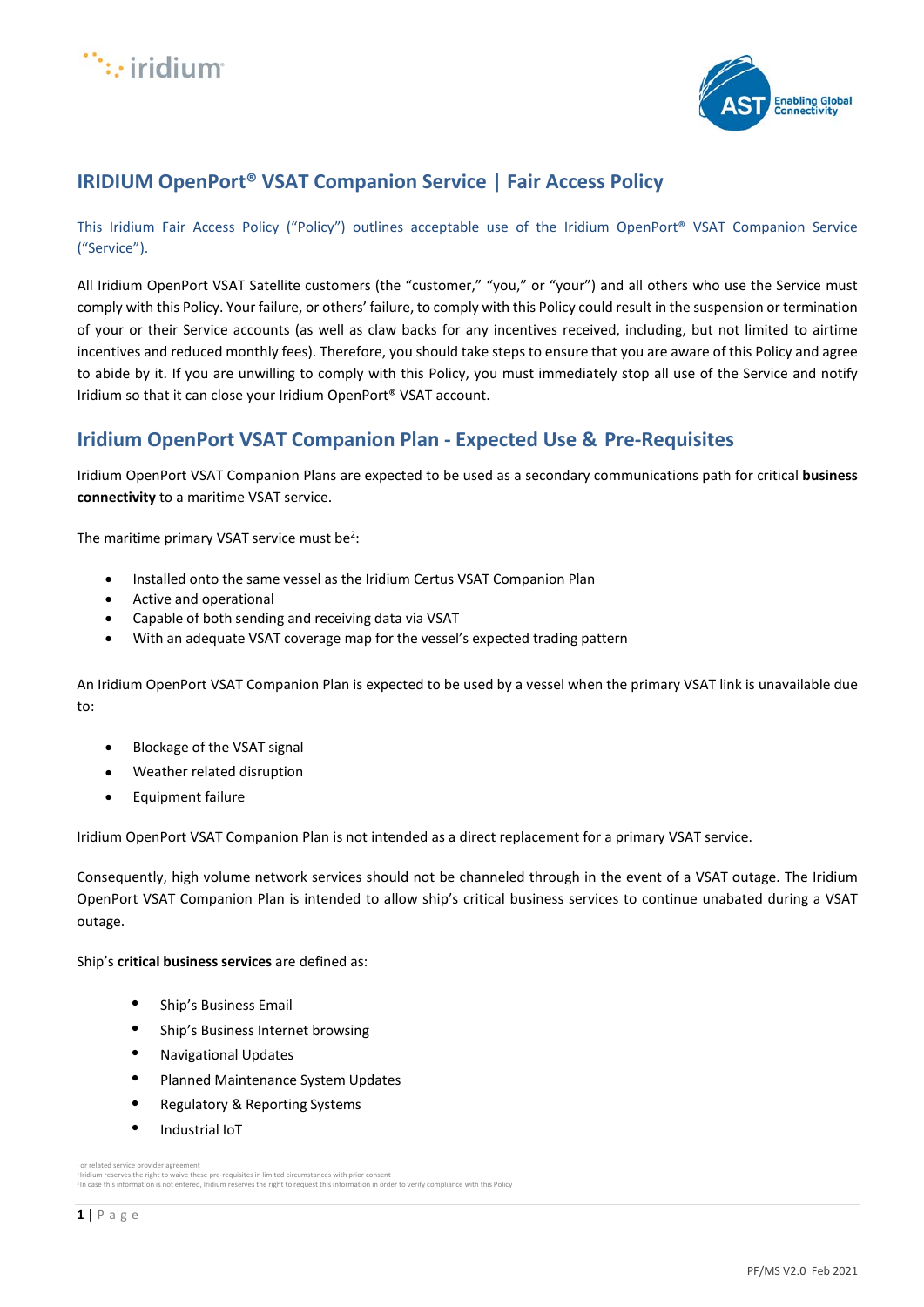



# **IRIDIUM OpenPort® VSAT Companion Service | Fair Access Policy**

This Iridium Fair Access Policy ("Policy") outlines acceptable use of the Iridium OpenPort® VSAT Companion Service ("Service").

All Iridium OpenPort VSAT Satellite customers (the "customer," "you," or "your") and all others who use the Service must comply with this Policy. Your failure, or others' failure, to comply with this Policy could result in the suspension or termination of your or their Service accounts (as well as claw backs for any incentives received, including, but not limited to airtime incentives and reduced monthly fees). Therefore, you should take steps to ensure that you are aware of this Policy and agree to abide by it. If you are unwilling to comply with this Policy, you must immediately stop all use of the Service and notify Iridium so that it can close your Iridium OpenPort® VSAT account.

# **Iridium OpenPort VSAT Companion Plan - Expected Use & Pre-Requisites**

Iridium OpenPort VSAT Companion Plans are expected to be used as a secondary communications path for critical **business connectivity** to a maritime VSAT service.

The maritime primary VSAT service must be<sup>2</sup>:

- Installed onto the same vessel as the Iridium Certus VSAT Companion Plan
- Active and operational
- Capable of both sending and receiving data via VSAT
- With an adequate VSAT coverage map for the vessel's expected trading pattern

An Iridium OpenPort VSAT Companion Plan is expected to be used by a vessel when the primary VSAT link is unavailable due to:

- Blockage of the VSAT signal
- Weather related disruption
- Equipment failure

Iridium OpenPort VSAT Companion Plan is not intended as a direct replacement for a primary VSAT service.

Consequently, high volume network services should not be channeled through in the event of a VSAT outage. The Iridium OpenPort VSAT Companion Plan is intended to allow ship's critical business services to continue unabated during a VSAT outage.

Ship's **critical business services** are defined as:

- Ship's Business Email
- Ship's Business Internet browsing
- Navigational Updates
- Planned Maintenance System Updates
- Regulatory & Reporting Systems
- Industrial IoT

<sup>&</sup>lt;sup>1</sup> or related service provider agree

<sup>-</sup>Iridium reserves the right to waive these pre-requisites in limited circumstances with prior consent<br>≯In case this information is not entered, Iridium reserves the right to request this information in order to verify com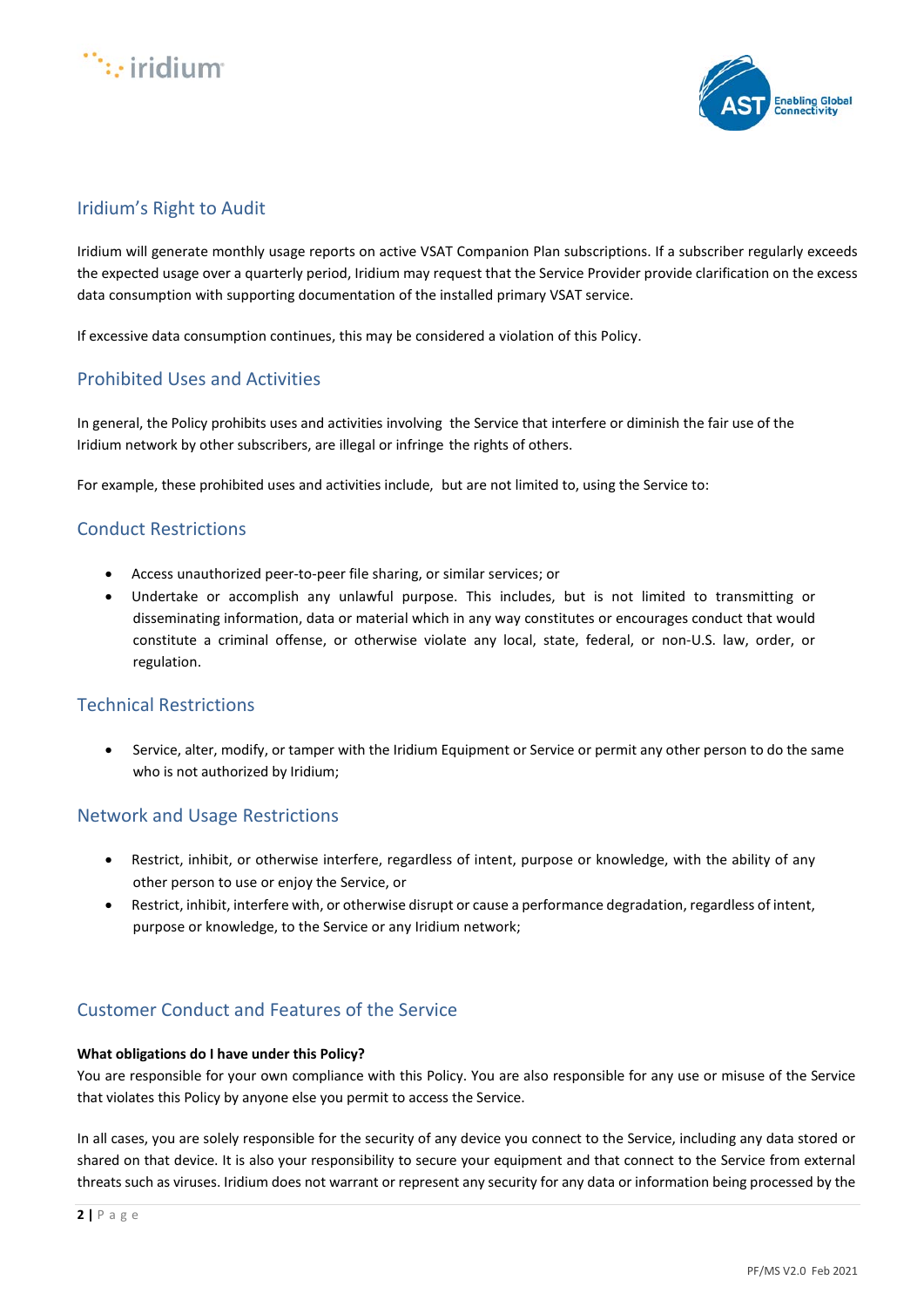



# Iridium's Right to Audit

Iridium will generate monthly usage reports on active VSAT Companion Plan subscriptions. If a subscriber regularly exceeds the expected usage over a quarterly period, Iridium may request that the Service Provider provide clarification on the excess data consumption with supporting documentation of the installed primary VSAT service.

If excessive data consumption continues, this may be considered a violation of this Policy.

### Prohibited Uses and Activities

In general, the Policy prohibits uses and activities involving the Service that interfere or diminish the fair use of the Iridium network by other subscribers, are illegal or infringe the rights of others.

For example, these prohibited uses and activities include, but are not limited to, using the Service to:

### Conduct Restrictions

- Access unauthorized peer-to-peer file sharing, or similar services; or
- Undertake or accomplish any unlawful purpose. This includes, but is not limited to transmitting or disseminating information, data or material which in any way constitutes or encourages conduct that would constitute a criminal offense, or otherwise violate any local, state, federal, or non-U.S. law, order, or regulation.

#### Technical Restrictions

• Service, alter, modify, or tamper with the Iridium Equipment or Service or permit any other person to do the same who is not authorized by Iridium;

#### Network and Usage Restrictions

- Restrict, inhibit, or otherwise interfere, regardless of intent, purpose or knowledge, with the ability of any other person to use or enjoy the Service, or
- Restrict, inhibit, interfere with, or otherwise disrupt or cause a performance degradation, regardless of intent, purpose or knowledge, to the Service or any Iridium network;

## Customer Conduct and Features of the Service

#### **What obligations do I have under this Policy?**

You are responsible for your own compliance with this Policy. You are also responsible for any use or misuse of the Service that violates this Policy by anyone else you permit to access the Service.

In all cases, you are solely responsible for the security of any device you connect to the Service, including any data stored or shared on that device. It is also your responsibility to secure your equipment and that connect to the Service from external threats such as viruses. Iridium does not warrant or represent any security for any data or information being processed by the